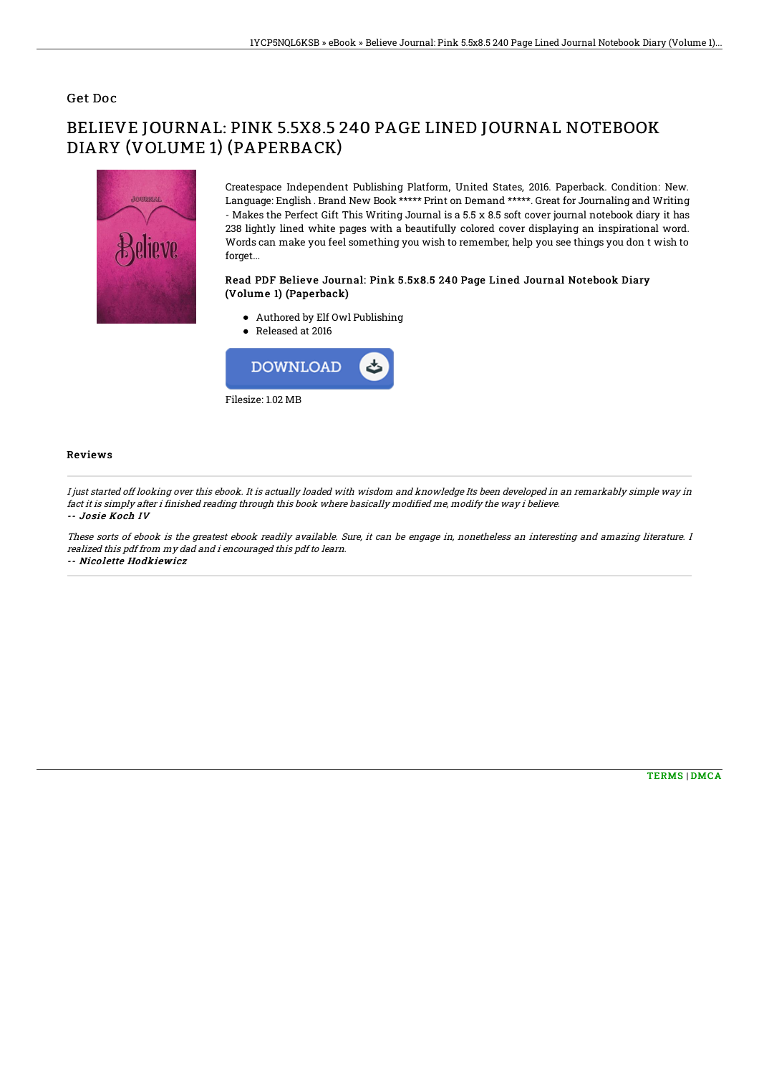### Get Doc

# BELIEVE JOURNAL: PINK 5.5X8.5 240 PAGE LINED JOURNAL NOTEBOOK DIARY (VOLUME 1) (PAPERBACK)



Createspace Independent Publishing Platform, United States, 2016. Paperback. Condition: New. Language: English . Brand New Book \*\*\*\*\* Print on Demand \*\*\*\*\*. Great for Journaling and Writing - Makes the Perfect Gift This Writing Journal is a 5.5 x 8.5 soft cover journal notebook diary it has 238 lightly lined white pages with a beautifully colored cover displaying an inspirational word. Words can make you feel something you wish to remember, help you see things you don t wish to forget...

#### Read PDF Believe Journal: Pink 5.5x8.5 240 Page Lined Journal Notebook Diary (Volume 1) (Paperback)

- Authored by Elf Owl Publishing
- Released at 2016



#### Reviews

I just started off looking over this ebook. It is actually loaded with wisdom and knowledge Its been developed in an remarkably simple way in fact it is simply after i finished reading through this book where basically modified me, modify the way i believe. -- Josie Koch IV

These sorts of ebook is the greatest ebook readily available. Sure, it can be engage in, nonetheless an interesting and amazing literature. I realized this pdf from my dad and i encouraged this pdf to learn. -- Nicolette Hodkiewicz